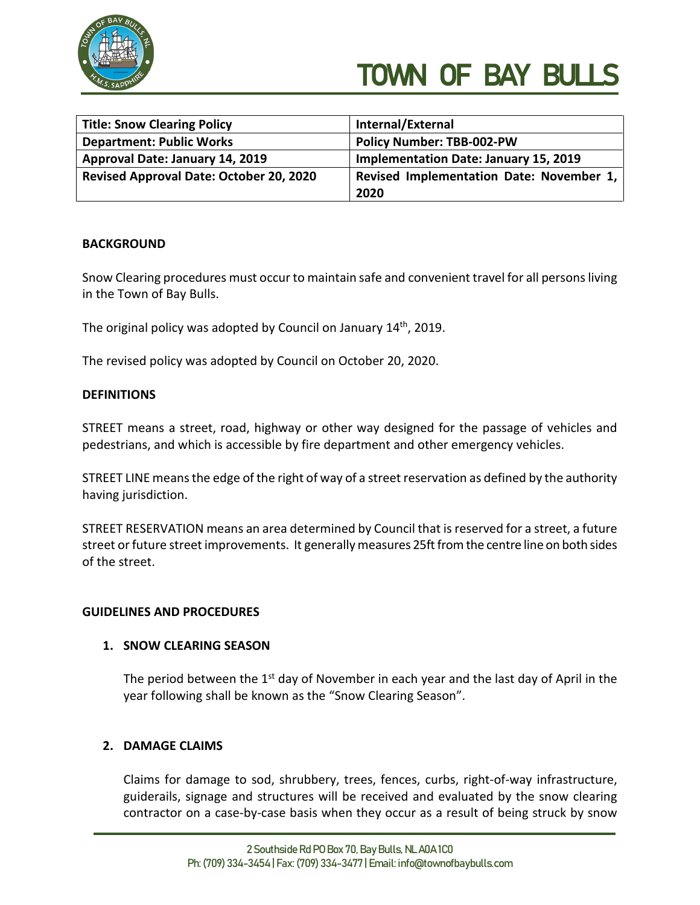

| <b>Title: Snow Clearing Policy</b>      | Internal/External                            |
|-----------------------------------------|----------------------------------------------|
| <b>Department: Public Works</b>         | <b>Policy Number: TBB-002-PW</b>             |
| Approval Date: January 14, 2019         | <b>Implementation Date: January 15, 2019</b> |
| Revised Approval Date: October 20, 2020 | Revised Implementation Date: November 1,     |
|                                         | 2020                                         |

## **BACKGROUND**

Snow Clearing procedures must occur to maintain safe and convenient travel for all persons living in the Town of Bay Bulls.

The original policy was adopted by Council on January 14<sup>th</sup>, 2019.

The revised policy was adopted by Council on October 20, 2020.

## **DEFINITIONS**

STREET means a street, road, highway or other way designed for the passage of vehicles and pedestrians, and which is accessible by fire department and other emergency vehicles.

STREET LINE means the edge of the right of way of a street reservation as defined by the authority having jurisdiction.

STREET RESERVATION means an area determined by Council that is reserved for a street, a future street or future street improvements. It generally measures 25ft from the centre line on both sides of the street.

## **GUIDELINES AND PROCEDURES**

## **1. SNOW CLEARING SEASON**

The period between the  $1<sup>st</sup>$  day of November in each year and the last day of April in the year following shall be known as the "Snow Clearing Season".

## **2. DAMAGE CLAIMS**

Claims for damage to sod, shrubbery, trees, fences, curbs, right-of-way infrastructure, guiderails, signage and structures will be received and evaluated by the snow clearing contractor on a case-by-case basis when they occur as a result of being struck by snow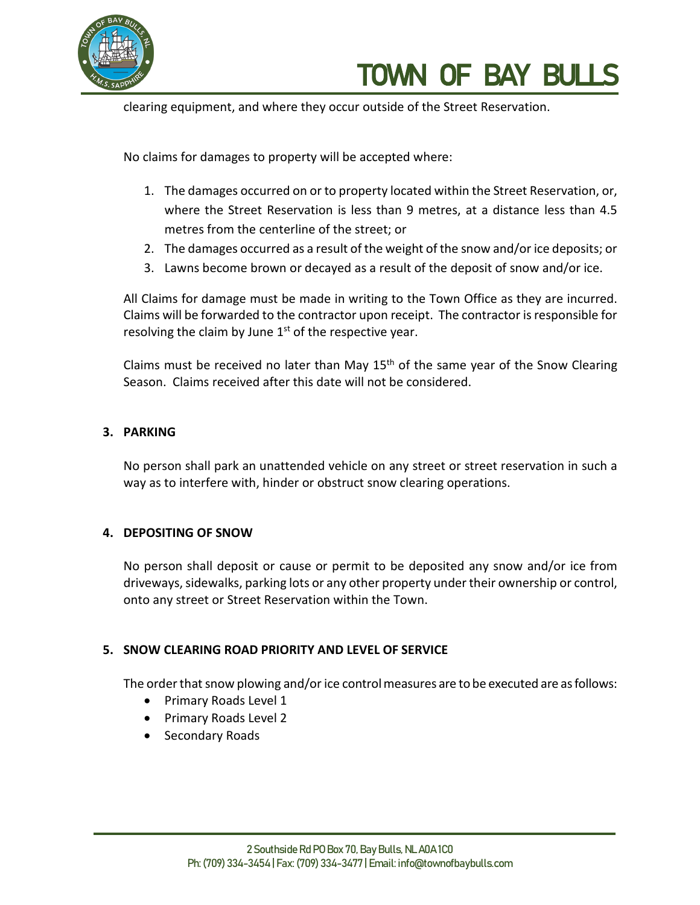

clearing equipment, and where they occur outside of the Street Reservation.

No claims for damages to property will be accepted where:

- 1. The damages occurred on or to property located within the Street Reservation, or, where the Street Reservation is less than 9 metres, at a distance less than 4.5 metres from the centerline of the street; or
- 2. The damages occurred as a result of the weight of the snow and/or ice deposits; or
- 3. Lawns become brown or decayed as a result of the deposit of snow and/or ice.

All Claims for damage must be made in writing to the Town Office as they are incurred. Claims will be forwarded to the contractor upon receipt. The contractor is responsible for resolving the claim by June  $1<sup>st</sup>$  of the respective year.

Claims must be received no later than May  $15<sup>th</sup>$  of the same year of the Snow Clearing Season. Claims received after this date will not be considered.

# **3. PARKING**

No person shall park an unattended vehicle on any street or street reservation in such a way as to interfere with, hinder or obstruct snow clearing operations.

## **4. DEPOSITING OF SNOW**

No person shall deposit or cause or permit to be deposited any snow and/or ice from driveways, sidewalks, parking lots or any other property under their ownership or control, onto any street or Street Reservation within the Town.

# **5. SNOW CLEARING ROAD PRIORITY AND LEVEL OF SERVICE**

The order that snow plowing and/or ice control measures are to be executed are as follows:

- Primary Roads Level 1
- Primary Roads Level 2
- Secondary Roads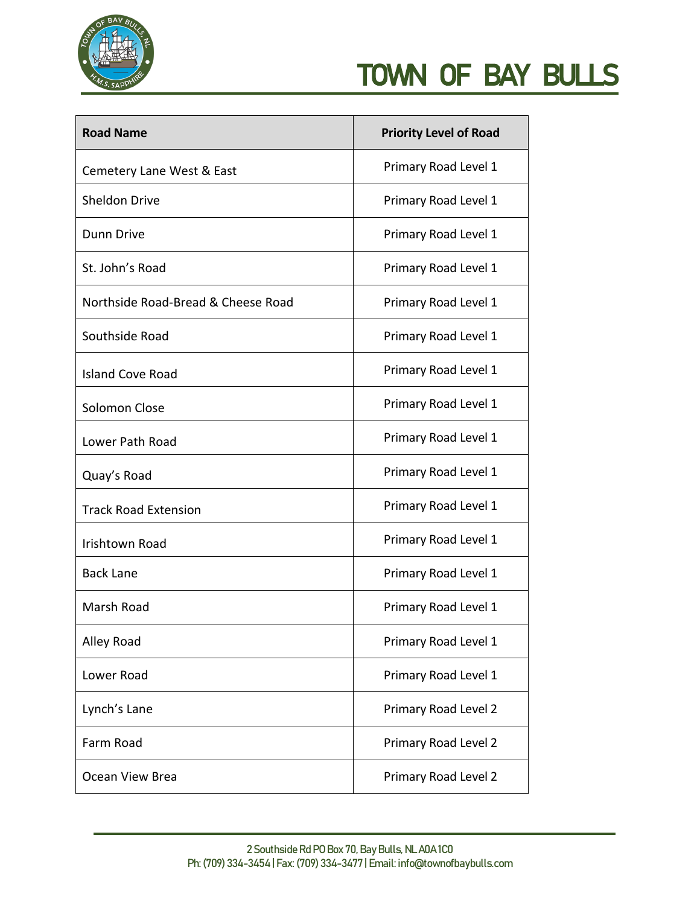

| <b>Road Name</b>                   | <b>Priority Level of Road</b> |
|------------------------------------|-------------------------------|
| Cemetery Lane West & East          | Primary Road Level 1          |
| <b>Sheldon Drive</b>               | Primary Road Level 1          |
| <b>Dunn Drive</b>                  | Primary Road Level 1          |
| St. John's Road                    | Primary Road Level 1          |
| Northside Road-Bread & Cheese Road | Primary Road Level 1          |
| Southside Road                     | Primary Road Level 1          |
| <b>Island Cove Road</b>            | Primary Road Level 1          |
| Solomon Close                      | Primary Road Level 1          |
| Lower Path Road                    | Primary Road Level 1          |
| Quay's Road                        | Primary Road Level 1          |
| <b>Track Road Extension</b>        | Primary Road Level 1          |
| <b>Irishtown Road</b>              | Primary Road Level 1          |
| <b>Back Lane</b>                   | Primary Road Level 1          |
| Marsh Road                         | Primary Road Level 1          |
| Alley Road                         | Primary Road Level 1          |
| Lower Road                         | Primary Road Level 1          |
| Lynch's Lane                       | Primary Road Level 2          |
| Farm Road                          | Primary Road Level 2          |
| Ocean View Brea                    | Primary Road Level 2          |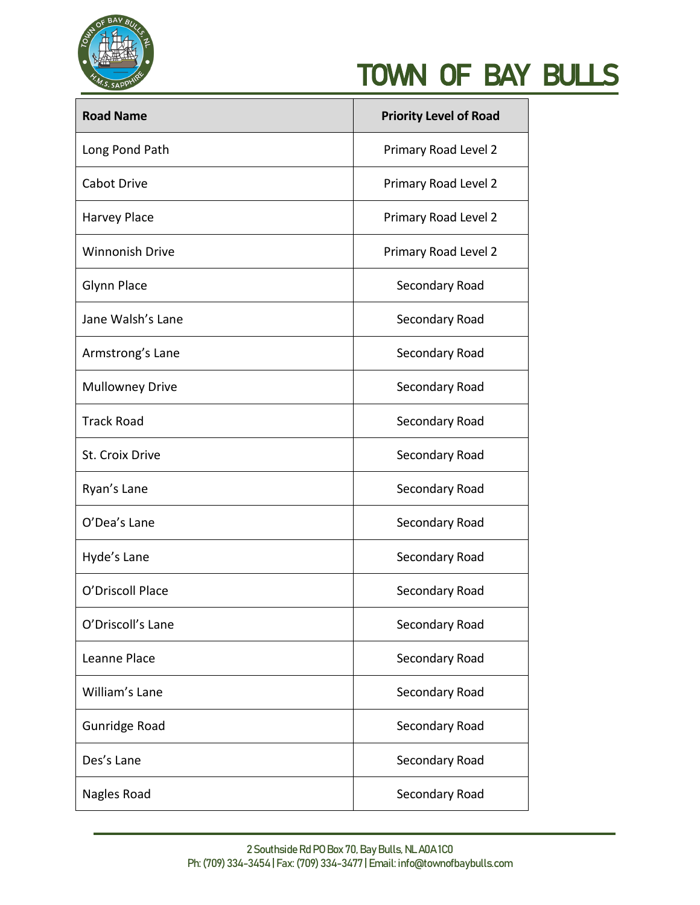

| <b>Road Name</b>       | <b>Priority Level of Road</b> |
|------------------------|-------------------------------|
| Long Pond Path         | Primary Road Level 2          |
| <b>Cabot Drive</b>     | Primary Road Level 2          |
| <b>Harvey Place</b>    | Primary Road Level 2          |
| <b>Winnonish Drive</b> | Primary Road Level 2          |
| <b>Glynn Place</b>     | Secondary Road                |
| Jane Walsh's Lane      | Secondary Road                |
| Armstrong's Lane       | Secondary Road                |
| <b>Mullowney Drive</b> | Secondary Road                |
| <b>Track Road</b>      | Secondary Road                |
| St. Croix Drive        | Secondary Road                |
| Ryan's Lane            | Secondary Road                |
| O'Dea's Lane           | Secondary Road                |
| Hyde's Lane            | Secondary Road                |
| O'Driscoll Place       | Secondary Road                |
| O'Driscoll's Lane      | Secondary Road                |
| Leanne Place           | Secondary Road                |
| William's Lane         | Secondary Road                |
| <b>Gunridge Road</b>   | Secondary Road                |
| Des's Lane             | Secondary Road                |
| Nagles Road            | Secondary Road                |